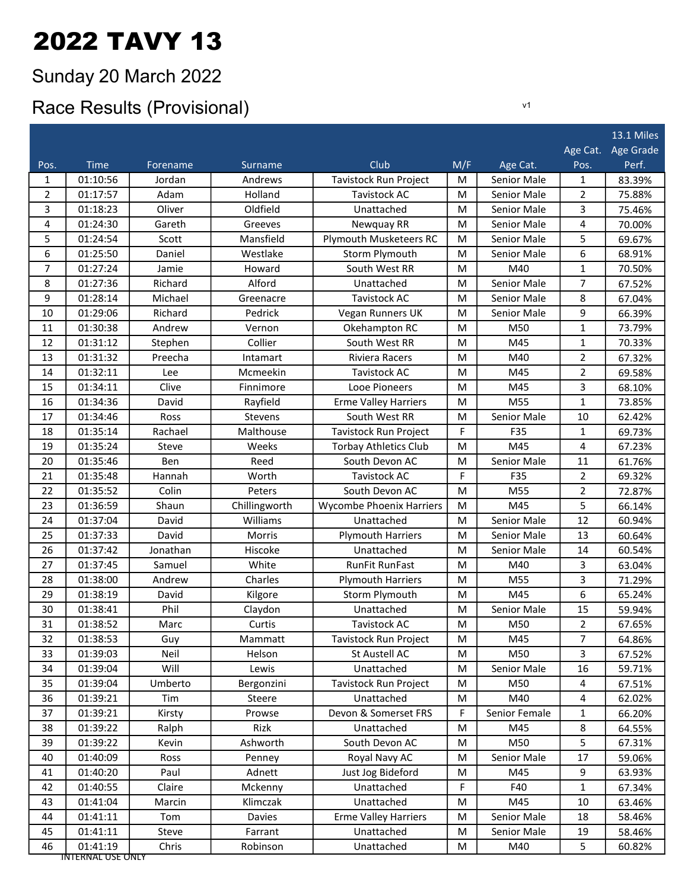## 2022 TAVY 13

## Sunday 20 March 2022 Race Results (Provisional) views and the Results of the Village of the Village of the Village of the Village of the Village of the Village of the Village of the Village of the Village of the Village of the Village of the V

|                |             |          |               |                                 |     |                    |                | 13.1 Miles |
|----------------|-------------|----------|---------------|---------------------------------|-----|--------------------|----------------|------------|
|                |             |          |               |                                 |     |                    | Age Cat.       | Age Grade  |
| Pos.           | <b>Time</b> | Forename | Surname       | Club                            | M/F | Age Cat.           | Pos.           | Perf.      |
| 1              | 01:10:56    | Jordan   | Andrews       | Tavistock Run Project           | М   | Senior Male        | $\mathbf{1}$   | 83.39%     |
| $\overline{2}$ | 01:17:57    | Adam     | Holland       | <b>Tavistock AC</b>             | M   | Senior Male        | $\overline{2}$ | 75.88%     |
| 3              | 01:18:23    | Oliver   | Oldfield      | Unattached                      | M   | Senior Male        | 3              | 75.46%     |
| 4              | 01:24:30    | Gareth   | Greeves       | Newquay RR                      | M   | Senior Male        | 4              | 70.00%     |
| 5              | 01:24:54    | Scott    | Mansfield     | <b>Plymouth Musketeers RC</b>   | M   | Senior Male        | 5              | 69.67%     |
| 6              | 01:25:50    | Daniel   | Westlake      | Storm Plymouth                  | M   | Senior Male        | 6              | 68.91%     |
| $\overline{7}$ | 01:27:24    | Jamie    | Howard        | South West RR                   | M   | M40                | $\mathbf{1}$   | 70.50%     |
| 8              | 01:27:36    | Richard  | Alford        | Unattached                      | M   | Senior Male        | $\overline{7}$ | 67.52%     |
| 9              | 01:28:14    | Michael  | Greenacre     | <b>Tavistock AC</b>             | M   | Senior Male        | 8              | 67.04%     |
| 10             | 01:29:06    | Richard  | Pedrick       | Vegan Runners UK                | M   | Senior Male        | 9              | 66.39%     |
| 11             | 01:30:38    | Andrew   | Vernon        | Okehampton RC                   | M   | M50                | $\mathbf{1}$   | 73.79%     |
| 12             | 01:31:12    | Stephen  | Collier       | South West RR                   | M   | M45                | $\mathbf{1}$   | 70.33%     |
| 13             | 01:31:32    | Preecha  | Intamart      | Riviera Racers                  | M   | M40                | $\overline{2}$ | 67.32%     |
| 14             | 01:32:11    | Lee      | Mcmeekin      | Tavistock AC                    | M   | M45                | $\overline{2}$ | 69.58%     |
| 15             | 01:34:11    | Clive    | Finnimore     | Looe Pioneers                   | M   | M45                | 3              | 68.10%     |
| 16             | 01:34:36    | David    | Rayfield      | <b>Erme Valley Harriers</b>     | M   | M55                | $\mathbf{1}$   | 73.85%     |
| 17             | 01:34:46    | Ross     | Stevens       | South West RR                   | M   | Senior Male        | 10             | 62.42%     |
| 18             | 01:35:14    | Rachael  | Malthouse     | <b>Tavistock Run Project</b>    | F   | F35                | $\mathbf{1}$   | 69.73%     |
| 19             | 01:35:24    | Steve    | Weeks         | <b>Torbay Athletics Club</b>    | M   | M45                | 4              | 67.23%     |
| 20             | 01:35:46    | Ben      | Reed          | South Devon AC                  | M   | Senior Male        | 11             | 61.76%     |
| 21             | 01:35:48    | Hannah   | Worth         | <b>Tavistock AC</b>             | F   | F35                | $\overline{2}$ | 69.32%     |
| 22             | 01:35:52    | Colin    | Peters        | South Devon AC                  | M   | M55                | $\overline{2}$ | 72.87%     |
| 23             | 01:36:59    | Shaun    | Chillingworth | <b>Wycombe Phoenix Harriers</b> | M   | M45                | 5              | 66.14%     |
| 24             | 01:37:04    | David    | Williams      | Unattached                      | M   | Senior Male        | 12             | 60.94%     |
| 25             | 01:37:33    | David    | <b>Morris</b> | <b>Plymouth Harriers</b>        | M   | <b>Senior Male</b> | 13             | 60.64%     |
| 26             | 01:37:42    | Jonathan | Hiscoke       | Unattached                      | M   | Senior Male        | 14             | 60.54%     |
| 27             | 01:37:45    | Samuel   | White         | <b>RunFit RunFast</b>           | M   | M40                | 3              | 63.04%     |
| 28             | 01:38:00    | Andrew   | Charles       | <b>Plymouth Harriers</b>        | M   | M55                | 3              | 71.29%     |
| 29             | 01:38:19    | David    | Kilgore       | Storm Plymouth                  | M   | M45                | 6              | 65.24%     |
| 30             | 01:38:41    | Phil     | Claydon       | Unattached                      | M   | Senior Male        | 15             | 59.94%     |
| 31             | 01:38:52    | Marc     | Curtis        | Tavistock AC                    | м   | M50                | $\overline{2}$ | 67.65%     |
| 32             | 01:38:53    | Guy      | Mammatt       | Tavistock Run Project           | M   | M45                | 7              | 64.86%     |
| 33             | 01:39:03    | Neil     | Helson        | St Austell AC                   | M   | M50                | 3              | 67.52%     |
| 34             | 01:39:04    | Will     | Lewis         | Unattached                      | M   | Senior Male        | 16             | 59.71%     |
| 35             | 01:39:04    | Umberto  | Bergonzini    | Tavistock Run Project           | M   | M50                | 4              | 67.51%     |
| 36             | 01:39:21    | Tim      | Steere        | Unattached                      | M   | M40                | 4              | 62.02%     |
| 37             | 01:39:21    | Kirsty   | Prowse        | Devon & Somerset FRS            | F   | Senior Female      | $\mathbf{1}$   | 66.20%     |
| 38             | 01:39:22    | Ralph    | Rizk          | Unattached                      | M   | M45                | 8              | 64.55%     |
| 39             | 01:39:22    | Kevin    | Ashworth      | South Devon AC                  | M   | M50                | 5              | 67.31%     |
| 40             | 01:40:09    | Ross     | Penney        | Royal Navy AC                   | M   | Senior Male        | 17             | 59.06%     |
| 41             | 01:40:20    | Paul     | Adnett        | Just Jog Bideford               | M   | M45                | 9              | 63.93%     |
| 42             | 01:40:55    | Claire   | Mckenny       | Unattached                      | F   | F40                | $\mathbf{1}$   | 67.34%     |
| 43             | 01:41:04    | Marcin   | Klimczak      | Unattached                      | M   | M45                | 10             | 63.46%     |
| 44             | 01:41:11    | Tom      | Davies        | <b>Erme Valley Harriers</b>     | M   | Senior Male        | 18             | 58.46%     |
| 45             | 01:41:11    | Steve    | Farrant       | Unattached                      | M   | Senior Male        | 19             | 58.46%     |
| 46             | 01:41:19    | Chris    | Robinson      | Unattached                      | M   | M40                | 5              | 60.82%     |

#INTERNAL USE ONLY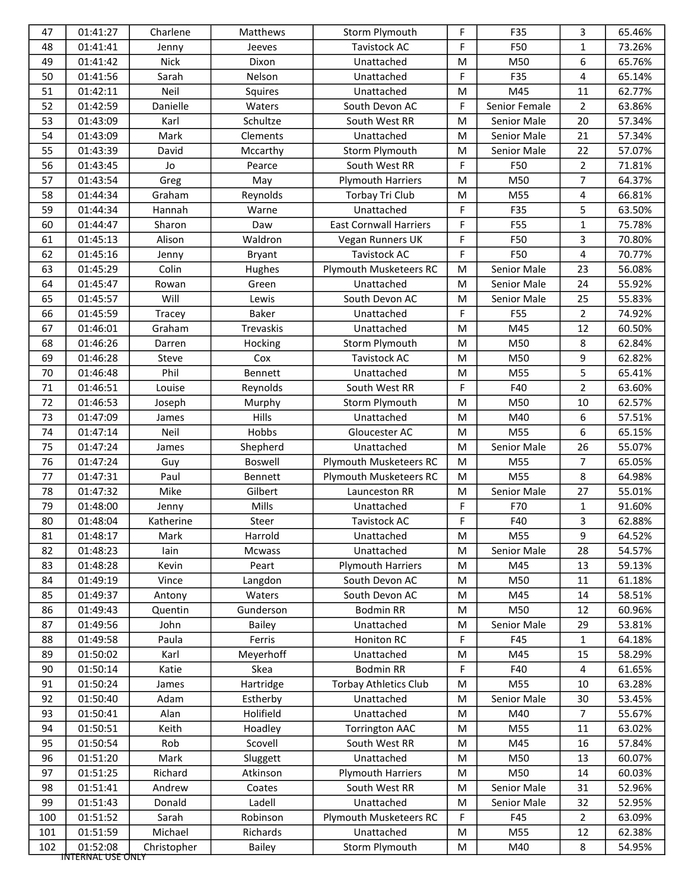| 47  | 01:41:27                  | Charlene    | Matthews       | Storm Plymouth                | F         | F35           | 3              | 65.46% |
|-----|---------------------------|-------------|----------------|-------------------------------|-----------|---------------|----------------|--------|
| 48  | 01:41:41                  | Jenny       | Jeeves         | Tavistock AC                  | F         | F50           | 1              | 73.26% |
| 49  | 01:41:42                  | <b>Nick</b> | Dixon          | Unattached                    | M         | M50           | 6              | 65.76% |
| 50  | 01:41:56                  | Sarah       | Nelson         | Unattached                    | F         | F35           | 4              | 65.14% |
| 51  | 01:42:11                  | Neil        | Squires        | Unattached                    | M         | M45           | 11             | 62.77% |
| 52  | 01:42:59                  | Danielle    | Waters         | South Devon AC                | F         | Senior Female | $\overline{2}$ | 63.86% |
| 53  | 01:43:09                  | Karl        | Schultze       | South West RR                 | M         | Senior Male   | 20             | 57.34% |
| 54  | 01:43:09                  | Mark        | Clements       | Unattached                    | M         | Senior Male   | 21             | 57.34% |
| 55  | 01:43:39                  | David       | Mccarthy       | Storm Plymouth                | M         | Senior Male   | 22             | 57.07% |
| 56  | 01:43:45                  | Jo          | Pearce         | South West RR                 | F         | F50           | $\overline{2}$ | 71.81% |
| 57  | 01:43:54                  | Greg        | May            | <b>Plymouth Harriers</b>      | M         | M50           | $\overline{7}$ | 64.37% |
| 58  | 01:44:34                  | Graham      | Reynolds       | Torbay Tri Club               | M         | M55           | 4              | 66.81% |
| 59  | 01:44:34                  | Hannah      | Warne          | Unattached                    | F         | F35           | 5              | 63.50% |
| 60  | 01:44:47                  | Sharon      | Daw            | <b>East Cornwall Harriers</b> | F         | F55           | $\mathbf{1}$   | 75.78% |
| 61  | 01:45:13                  | Alison      | Waldron        | Vegan Runners UK              | F         | F50           | 3              | 70.80% |
| 62  | 01:45:16                  | Jenny       | Bryant         | <b>Tavistock AC</b>           | F         | F50           | 4              | 70.77% |
| 63  | 01:45:29                  | Colin       | Hughes         | <b>Plymouth Musketeers RC</b> | M         | Senior Male   | 23             | 56.08% |
| 64  | 01:45:47                  | Rowan       | Green          | Unattached                    | M         | Senior Male   | 24             | 55.92% |
| 65  | 01:45:57                  | Will        | Lewis          | South Devon AC                | M         | Senior Male   | 25             | 55.83% |
| 66  | 01:45:59                  | Tracey      | Baker          | Unattached                    | F         | F55           | $\overline{2}$ | 74.92% |
| 67  | 01:46:01                  | Graham      | Trevaskis      | Unattached                    | ${\sf M}$ | M45           | 12             | 60.50% |
| 68  | 01:46:26                  | Darren      | Hocking        | Storm Plymouth                | M         | M50           | 8              | 62.84% |
| 69  | 01:46:28                  | Steve       | Cox            | Tavistock AC                  | M         | M50           | 9              | 62.82% |
| 70  | 01:46:48                  | Phil        | Bennett        | Unattached                    | M         | M55           | 5              | 65.41% |
| 71  | 01:46:51                  | Louise      | Reynolds       | South West RR                 | F         | F40           | $\overline{2}$ | 63.60% |
| 72  | 01:46:53                  | Joseph      | Murphy         | Storm Plymouth                | M         | M50           | 10             | 62.57% |
| 73  | 01:47:09                  | James       | Hills          | Unattached                    | M         | M40           | 6              | 57.51% |
| 74  | 01:47:14                  | Neil        | Hobbs          | Gloucester AC                 | M         | M55           | 6              | 65.15% |
| 75  | 01:47:24                  | James       | Shepherd       | Unattached                    | M         | Senior Male   | 26             | 55.07% |
| 76  | 01:47:24                  | Guy         | <b>Boswell</b> | Plymouth Musketeers RC        | M         | M55           | 7              | 65.05% |
| 77  | 01:47:31                  | Paul        | Bennett        | Plymouth Musketeers RC        | ${\sf M}$ | M55           | 8              | 64.98% |
| 78  | 01:47:32                  | Mike        | Gilbert        | Launceston RR                 | M         | Senior Male   | 27             | 55.01% |
| 79  | 01:48:00                  | Jenny       | Mills          | Unattached                    | F         | F70           | 1              | 91.60% |
| 80  | 01:48:04                  | Katherine   | Steer          | Tavistock AC                  | F         | F40           | 3              | 62.88% |
| 81  | 01:48:17                  | Mark        | Harrold        | Unattached                    | M         | M55           | 9              | 64.52% |
| 82  | 01:48:23                  | lain        | Mcwass         | Unattached                    | M         | Senior Male   | 28             | 54.57% |
| 83  | 01:48:28                  | Kevin       | Peart          | <b>Plymouth Harriers</b>      | M         | M45           | 13             | 59.13% |
| 84  | 01:49:19                  | Vince       | Langdon        | South Devon AC                | M         | M50           | 11             | 61.18% |
| 85  | 01:49:37                  | Antony      | Waters         | South Devon AC                | M         | M45           | 14             | 58.51% |
| 86  | 01:49:43                  | Quentin     | Gunderson      | <b>Bodmin RR</b>              | M         | M50           | 12             | 60.96% |
| 87  | 01:49:56                  | John        | <b>Bailey</b>  | Unattached                    | M         | Senior Male   | 29             | 53.81% |
| 88  | 01:49:58                  | Paula       | Ferris         | Honiton RC                    | F         | F45           | 1              | 64.18% |
| 89  | 01:50:02                  | Karl        | Meyerhoff      | Unattached                    | M         | M45           | 15             | 58.29% |
| 90  | 01:50:14                  | Katie       | Skea           | <b>Bodmin RR</b>              | F         | F40           | 4              | 61.65% |
| 91  | 01:50:24                  | James       | Hartridge      | <b>Torbay Athletics Club</b>  | M         | M55           | 10             | 63.28% |
| 92  | 01:50:40                  | Adam        | Estherby       | Unattached                    | M         | Senior Male   | 30             | 53.45% |
| 93  | 01:50:41                  | Alan        | Holifield      | Unattached                    | M         | M40           | 7              | 55.67% |
| 94  | 01:50:51                  | Keith       | Hoadley        | <b>Torrington AAC</b>         | M         | M55           | 11             | 63.02% |
| 95  | 01:50:54                  | Rob         | Scovell        | South West RR                 | M         | M45           | 16             | 57.84% |
| 96  | 01:51:20                  | Mark        | Sluggett       | Unattached                    | M         | M50           | 13             | 60.07% |
| 97  | 01:51:25                  | Richard     | Atkinson       | <b>Plymouth Harriers</b>      | M         | M50           | 14             | 60.03% |
| 98  | 01:51:41                  | Andrew      | Coates         | South West RR                 | M         | Senior Male   | 31             | 52.96% |
| 99  | 01:51:43                  | Donald      | Ladell         | Unattached                    | M         | Senior Male   | 32             | 52.95% |
| 100 | 01:51:52                  | Sarah       | Robinson       | Plymouth Musketeers RC        | F         | F45           | $\overline{2}$ | 63.09% |
| 101 | 01:51:59                  | Michael     | Richards       | Unattached                    | M         | M55           | 12             | 62.38% |
| 102 | 01:52:08                  | Christopher | Bailey         | Storm Plymouth                | M         | M40           | 8              | 54.95% |
|     | <u> INTERNAL USE ONLY</u> |             |                |                               |           |               |                |        |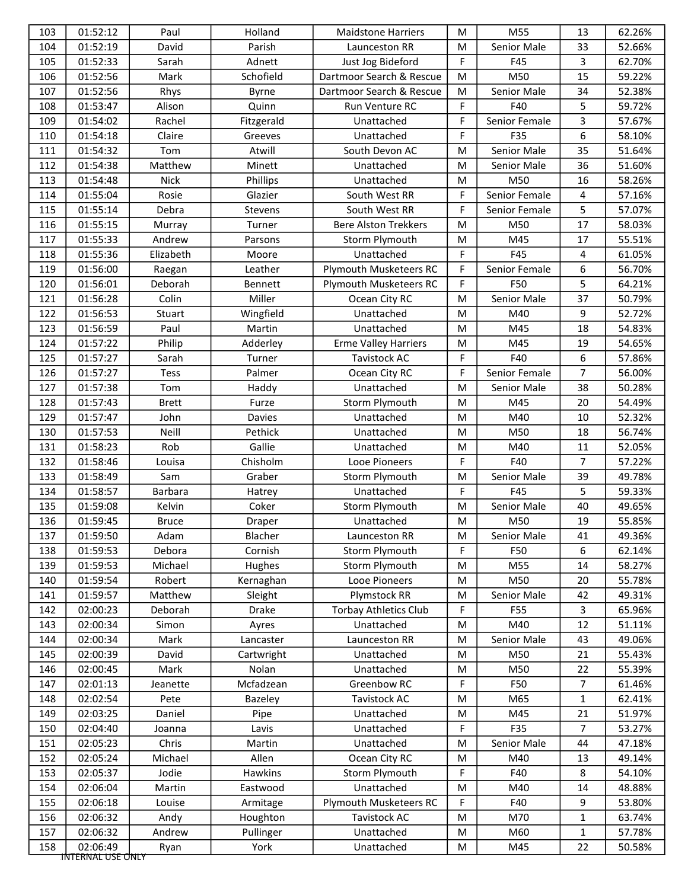| 103 | 01:52:12                 | Paul         | Holland           | <b>Maidstone Harriers</b>    | M | M55           | 13                 | 62.26% |
|-----|--------------------------|--------------|-------------------|------------------------------|---|---------------|--------------------|--------|
| 104 | 01:52:19                 | David        | Parish            | Launceston RR                | M | Senior Male   | 33                 | 52.66% |
| 105 | 01:52:33                 | Sarah        | Adnett            | Just Jog Bideford            | F | F45           | 3                  | 62.70% |
| 106 | 01:52:56                 | Mark         | Schofield         | Dartmoor Search & Rescue     | M | M50           | 15                 | 59.22% |
| 107 | 01:52:56                 | Rhys         | Byrne             | Dartmoor Search & Rescue     | M | Senior Male   | 34                 | 52.38% |
| 108 | 01:53:47                 | Alison       | Quinn             | Run Venture RC               | F | F40           | 5                  | 59.72% |
| 109 | 01:54:02                 | Rachel       | Fitzgerald        | Unattached                   | F | Senior Female | 3                  | 57.67% |
| 110 | 01:54:18                 | Claire       | Greeves           | Unattached                   | F | F35           | 6                  | 58.10% |
| 111 | 01:54:32                 | Tom          | Atwill            | South Devon AC               | M | Senior Male   | 35                 | 51.64% |
| 112 | 01:54:38                 | Matthew      | Minett            | Unattached                   | M | Senior Male   | 36                 | 51.60% |
| 113 | 01:54:48                 | <b>Nick</b>  | Phillips          | Unattached                   | M | M50           | 16                 | 58.26% |
| 114 | 01:55:04                 | Rosie        | Glazier           | South West RR                | F | Senior Female | 4                  | 57.16% |
| 115 | 01:55:14                 | Debra        | Stevens           | South West RR                | F | Senior Female | 5                  | 57.07% |
| 116 | 01:55:15                 | Murray       | Turner            | <b>Bere Alston Trekkers</b>  | M | M50           | 17                 | 58.03% |
| 117 | 01:55:33                 | Andrew       | Parsons           | Storm Plymouth               | M | M45           | 17                 | 55.51% |
| 118 | 01:55:36                 | Elizabeth    | Moore             | Unattached                   | F | F45           | 4                  | 61.05% |
| 119 | 01:56:00                 | Raegan       | Leather           | Plymouth Musketeers RC       | F | Senior Female | 6                  | 56.70% |
| 120 | 01:56:01                 | Deborah      | <b>Bennett</b>    | Plymouth Musketeers RC       | F | F50           | 5                  | 64.21% |
| 121 | 01:56:28                 | Colin        | Miller            | Ocean City RC                | M | Senior Male   | 37                 | 50.79% |
| 122 | 01:56:53                 | Stuart       | Wingfield         | Unattached                   | M | M40           | 9                  | 52.72% |
| 123 | 01:56:59                 | Paul         | Martin            | Unattached                   | M | M45           | 18                 | 54.83% |
| 124 | 01:57:22                 | Philip       | Adderley          | <b>Erme Valley Harriers</b>  | M | M45           | 19                 | 54.65% |
| 125 | 01:57:27                 | Sarah        | Turner            | <b>Tavistock AC</b>          | F | F40           | 6                  | 57.86% |
| 126 | 01:57:27                 | Tess         | Palmer            | Ocean City RC                | F | Senior Female | 7                  | 56.00% |
| 127 | 01:57:38                 | Tom          | Haddy             | Unattached                   | M | Senior Male   | 38                 | 50.28% |
| 128 | 01:57:43                 | <b>Brett</b> | Furze             | Storm Plymouth               | M | M45           | 20                 | 54.49% |
| 129 | 01:57:47                 | John         | Davies            | Unattached                   | M | M40           | 10                 | 52.32% |
| 130 | 01:57:53                 | Neill        | Pethick           | Unattached                   | M | M50           | 18                 | 56.74% |
| 131 | 01:58:23                 | Rob          | Gallie            | Unattached                   | M | M40           | 11                 | 52.05% |
| 132 | 01:58:46                 | Louisa       | Chisholm          | Looe Pioneers                | F | F40           | 7                  | 57.22% |
| 133 | 01:58:49                 | Sam          | Graber            | Storm Plymouth               | M | Senior Male   | 39                 | 49.78% |
| 134 | 01:58:57                 | Barbara      | Hatrey            | Unattached                   | F | F45           | 5                  | 59.33% |
| 135 | 01:59:08                 | Kelvin       | Coker             | Storm Plymouth               | M | Senior Male   | 40                 | 49.65% |
| 136 | 01:59:45                 | <b>Bruce</b> | Draper            | Unattached                   | M | M50           | 19                 | 55.85% |
| 137 | 01:59:50                 | Adam         | Blacher           | Launceston RR                | M | Senior Male   | 41                 | 49.36% |
| 138 | 01:59:53                 | Debora       | Cornish           | Storm Plymouth               | F | F50           | 6                  | 62.14% |
| 139 | 01:59:53                 | Michael      | Hughes            | Storm Plymouth               | M | M55           | 14                 | 58.27% |
| 140 | 01:59:54                 | Robert       | Kernaghan         | Looe Pioneers                | M | M50           | 20                 | 55.78% |
| 141 | 01:59:57                 | Matthew      | Sleight           | Plymstock RR                 | M | Senior Male   | 42                 | 49.31% |
| 142 | 02:00:23                 | Deborah      | Drake             | <b>Torbay Athletics Club</b> | F | F55           | 3                  | 65.96% |
| 143 | 02:00:34                 | Simon        | Ayres             | Unattached                   | M | M40           | 12                 | 51.11% |
| 144 | 02:00:34                 | Mark         | Lancaster         | Launceston RR                | M | Senior Male   | 43                 | 49.06% |
| 145 | 02:00:39                 | David        | Cartwright        | Unattached                   | M | M50           | 21                 | 55.43% |
| 146 | 02:00:45                 | Mark         | Nolan             | Unattached                   | M | M50           | 22                 | 55.39% |
| 147 | 02:01:13                 | Jeanette     | Mcfadzean         | Greenbow RC                  | F | F50           | $\overline{7}$     | 61.46% |
| 148 | 02:02:54                 | Pete         | Bazeley           | Tavistock AC                 | M | M65           | 1                  | 62.41% |
| 149 | 02:03:25                 | Daniel       | Pipe              | Unattached                   | M | M45           | 21                 | 51.97% |
| 150 | 02:04:40                 | Joanna       | Lavis             | Unattached                   | F | F35           | 7                  | 53.27% |
| 151 | 02:05:23                 | Chris        | Martin            | Unattached                   | M | Senior Male   | 44                 | 47.18% |
| 152 | 02:05:24                 | Michael      | Allen             | Ocean City RC                | M | M40           | 13                 | 49.14% |
| 153 | 02:05:37                 | Jodie        | Hawkins           | Storm Plymouth               | F | F40           | 8                  | 54.10% |
| 154 | 02:06:04                 | Martin       | Eastwood          | Unattached                   | M | M40           | 14                 | 48.88% |
| 155 | 02:06:18                 | Louise       | Armitage          | Plymouth Musketeers RC       | F | F40           | 9                  | 53.80% |
| 156 | 02:06:32                 | Andy         | Houghton          | Tavistock AC                 | M | M70           | 1                  | 63.74% |
| 157 | 02:06:32<br>02:06:49     | Andrew       | Pullinger<br>York | Unattached                   | M | M60<br>M45    | $\mathbf{1}$<br>22 | 57.78% |
| 158 | <u>INTERNAL USE ONLY</u> | Ryan         |                   | Unattached                   | M |               |                    | 50.58% |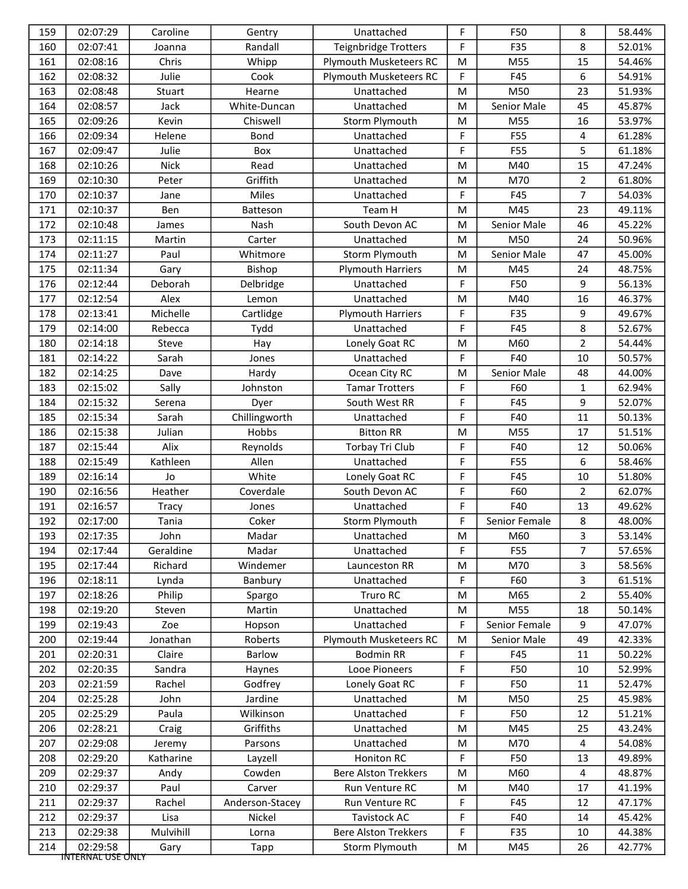| 159 | 02:07:29                             | Caroline     | Gentry          | Unattached                  | F | F50           | 8              | 58.44% |
|-----|--------------------------------------|--------------|-----------------|-----------------------------|---|---------------|----------------|--------|
| 160 | 02:07:41                             | Joanna       | Randall         | Teignbridge Trotters        | F | F35           | 8              | 52.01% |
| 161 | 02:08:16                             | Chris        | Whipp           | Plymouth Musketeers RC      | M | M55           | 15             | 54.46% |
| 162 | 02:08:32                             | Julie        | Cook            | Plymouth Musketeers RC      | F | F45           | 6              | 54.91% |
| 163 | 02:08:48                             | Stuart       | Hearne          | Unattached                  | M | M50           | 23             | 51.93% |
| 164 | 02:08:57                             | Jack         | White-Duncan    | Unattached                  | M | Senior Male   | 45             | 45.87% |
| 165 | 02:09:26                             | Kevin        | Chiswell        | Storm Plymouth              | M | M55           | 16             | 53.97% |
| 166 | 02:09:34                             | Helene       | Bond            | Unattached                  | F | F55           | 4              | 61.28% |
| 167 | 02:09:47                             | Julie        | Box             | Unattached                  | F | F55           | 5              | 61.18% |
| 168 | 02:10:26                             | <b>Nick</b>  | Read            | Unattached                  | M | M40           | 15             | 47.24% |
| 169 | 02:10:30                             | Peter        | Griffith        | Unattached                  | M | M70           | $\overline{2}$ | 61.80% |
| 170 | 02:10:37                             | Jane         | Miles           | Unattached                  | F | F45           | 7              | 54.03% |
| 171 | 02:10:37                             | Ben          | Batteson        | Team H                      | M | M45           | 23             | 49.11% |
| 172 | 02:10:48                             | James        | Nash            | South Devon AC              | M | Senior Male   | 46             | 45.22% |
| 173 | 02:11:15                             | Martin       | Carter          | Unattached                  | M | M50           | 24             | 50.96% |
| 174 | 02:11:27                             | Paul         | Whitmore        | Storm Plymouth              | M | Senior Male   | 47             | 45.00% |
| 175 | 02:11:34                             | Gary         | <b>Bishop</b>   | <b>Plymouth Harriers</b>    | M | M45           | 24             | 48.75% |
| 176 | 02:12:44                             | Deborah      | Delbridge       | Unattached                  | F | F50           | 9              | 56.13% |
| 177 | 02:12:54                             | Alex         | Lemon           | Unattached                  | M | M40           | 16             | 46.37% |
| 178 | 02:13:41                             | Michelle     | Cartlidge       | <b>Plymouth Harriers</b>    | F | F35           | 9              | 49.67% |
| 179 | 02:14:00                             | Rebecca      | Tydd            | Unattached                  | F | F45           | 8              | 52.67% |
| 180 | 02:14:18                             | Steve        | Hay             | Lonely Goat RC              | M | M60           | $\overline{2}$ | 54.44% |
| 181 | 02:14:22                             | Sarah        | Jones           | Unattached                  | F | F40           | 10             | 50.57% |
| 182 | 02:14:25                             | Dave         | Hardy           | Ocean City RC               | M | Senior Male   | 48             | 44.00% |
| 183 | 02:15:02                             | Sally        | Johnston        | <b>Tamar Trotters</b>       | F | F60           | 1              | 62.94% |
| 184 | 02:15:32                             | Serena       | Dyer            | South West RR               | F | F45           | 9              | 52.07% |
| 185 | 02:15:34                             | Sarah        | Chillingworth   | Unattached                  | F | F40           | 11             | 50.13% |
| 186 | 02:15:38                             | Julian       | Hobbs           | <b>Bitton RR</b>            | M | M55           | 17             | 51.51% |
| 187 | 02:15:44                             | Alix         | Reynolds        | Torbay Tri Club             | F | F40           | 12             | 50.06% |
| 188 | 02:15:49                             | Kathleen     | Allen           | Unattached                  | F | F55           | 6              | 58.46% |
| 189 | 02:16:14                             | Jo           | White           | Lonely Goat RC              | F | F45           | 10             | 51.80% |
| 190 | 02:16:56                             | Heather      | Coverdale       | South Devon AC              | F | F60           | 2              | 62.07% |
| 191 | 02:16:57                             | <b>Tracy</b> | Jones           | Unattached                  | F | F40           | 13             | 49.62% |
| 192 | 02:17:00                             | Tania        | Coker           | Storm Plymouth              | F | Senior Female | 8              | 48.00% |
| 193 | 02:17:35                             | John         | Madar           | Unattached                  | M | M60           | 3              | 53.14% |
| 194 | 02:17:44                             | Geraldine    | Madar           | Unattached                  | F | <b>F55</b>    | $\overline{7}$ | 57.65% |
| 195 | 02:17:44                             | Richard      | Windemer        | Launceston RR               | M | M70           | 3              | 58.56% |
| 196 | 02:18:11                             | Lynda        | Banbury         | Unattached                  | F | F60           | 3              | 61.51% |
| 197 | 02:18:26                             | Philip       | Spargo          | Truro RC                    | M | M65           | 2              | 55.40% |
| 198 | 02:19:20                             | Steven       | Martin          | Unattached                  | M | M55           | 18             | 50.14% |
| 199 | 02:19:43                             | Zoe          | Hopson          | Unattached                  | F | Senior Female | 9              | 47.07% |
| 200 | 02:19:44                             | Jonathan     | Roberts         | Plymouth Musketeers RC      | M | Senior Male   | 49             | 42.33% |
| 201 | 02:20:31                             | Claire       | Barlow          | <b>Bodmin RR</b>            | F | F45           | 11             | 50.22% |
| 202 | 02:20:35                             | Sandra       | Haynes          | Looe Pioneers               | F | F50           | 10             | 52.99% |
| 203 | 02:21:59                             | Rachel       | Godfrey         | Lonely Goat RC              | F | F50           | 11             | 52.47% |
| 204 | 02:25:28                             | John         | Jardine         | Unattached                  | M | M50           | 25             | 45.98% |
| 205 | 02:25:29                             | Paula        | Wilkinson       | Unattached                  | F | F50           | 12             | 51.21% |
| 206 | 02:28:21                             | Craig        | Griffiths       | Unattached                  | M | M45           | 25             | 43.24% |
| 207 | 02:29:08                             | Jeremy       | Parsons         | Unattached                  | M | M70           | 4              | 54.08% |
| 208 | 02:29:20                             | Katharine    | Layzell         | Honiton RC                  | F | F50           | 13             | 49.89% |
| 209 | 02:29:37                             | Andy         | Cowden          | <b>Bere Alston Trekkers</b> | M | M60           | 4              | 48.87% |
| 210 | 02:29:37                             | Paul         | Carver          | Run Venture RC              | M | M40           | 17             | 41.19% |
| 211 | 02:29:37                             | Rachel       | Anderson-Stacey | Run Venture RC              | F | F45           | 12             | 47.17% |
| 212 | 02:29:37                             | Lisa         | Nickel          | <b>Tavistock AC</b>         | F | F40           | 14             | 45.42% |
| 213 | 02:29:38                             | Mulvihill    | Lorna           | <b>Bere Alston Trekkers</b> | F | F35           | 10             | 44.38% |
| 214 | 02:29:58<br><u>INTERNAL USE ONLY</u> | Gary         | Tapp            | Storm Plymouth              | M | M45           | 26             | 42.77% |